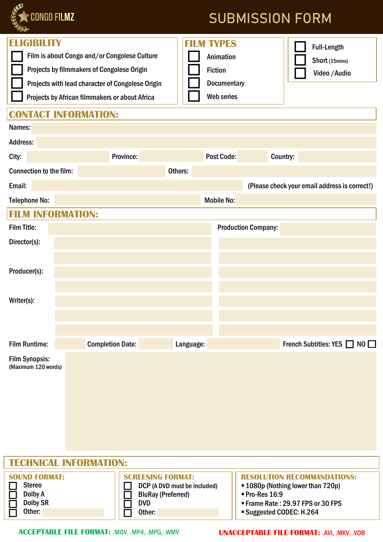

## **SUBMISSION FORM**

| D -<br><b>ELIGIBILITY</b>      | Film is about Congo and/or Congolese Culture<br>Projects by filmmakers of Congolese Origin<br>Projects with lead character of Congolese Origin<br>Projects by African filmmakers or about Africa<br><b>CONTACT INFORMATION:</b> | <b>FILM TYPES</b><br><b>Animation</b><br><b>Fiction</b><br><b>Documentary</b><br>Web series | <b>Full-Length</b><br>Short (15mins)<br>Video / Audio |
|--------------------------------|---------------------------------------------------------------------------------------------------------------------------------------------------------------------------------------------------------------------------------|---------------------------------------------------------------------------------------------|-------------------------------------------------------|
| Names:                         |                                                                                                                                                                                                                                 |                                                                                             |                                                       |
| Address:                       |                                                                                                                                                                                                                                 |                                                                                             |                                                       |
| City:                          | Province:                                                                                                                                                                                                                       | <b>Post Code:</b>                                                                           | Country:                                              |
| <b>Connection to the film:</b> |                                                                                                                                                                                                                                 | Others:                                                                                     |                                                       |
| Email:                         |                                                                                                                                                                                                                                 |                                                                                             | (Please check your email address is correct!)         |
| <b>Telephone No:</b>           |                                                                                                                                                                                                                                 | <b>Mobile No:</b>                                                                           |                                                       |
| <b>FILM INFORMATION:</b>       |                                                                                                                                                                                                                                 |                                                                                             |                                                       |
| <b>Film Title:</b>             |                                                                                                                                                                                                                                 |                                                                                             | <b>Production Company:</b>                            |
| Director(s):                   |                                                                                                                                                                                                                                 |                                                                                             |                                                       |
|                                |                                                                                                                                                                                                                                 |                                                                                             |                                                       |
| Producer(s):                   |                                                                                                                                                                                                                                 |                                                                                             |                                                       |
|                                |                                                                                                                                                                                                                                 |                                                                                             |                                                       |
| Writer(s):                     |                                                                                                                                                                                                                                 |                                                                                             |                                                       |
|                                |                                                                                                                                                                                                                                 |                                                                                             |                                                       |
|                                |                                                                                                                                                                                                                                 |                                                                                             |                                                       |
| <b>Film Runtime:</b>           | <b>Completion Date:</b>                                                                                                                                                                                                         | Language:                                                                                   | French Subtitles: YES $\Box$ NO $\Box$                |
| <b>Film Synopsis:</b>          |                                                                                                                                                                                                                                 |                                                                                             |                                                       |
| (Maximum 120 words)            |                                                                                                                                                                                                                                 |                                                                                             |                                                       |
|                                |                                                                                                                                                                                                                                 |                                                                                             |                                                       |
|                                |                                                                                                                                                                                                                                 |                                                                                             |                                                       |
|                                |                                                                                                                                                                                                                                 |                                                                                             |                                                       |
|                                |                                                                                                                                                                                                                                 |                                                                                             |                                                       |
|                                |                                                                                                                                                                                                                                 |                                                                                             |                                                       |
| <b>TECHNICAL INEODMATION.</b>  |                                                                                                                                                                                                                                 |                                                                                             |                                                       |